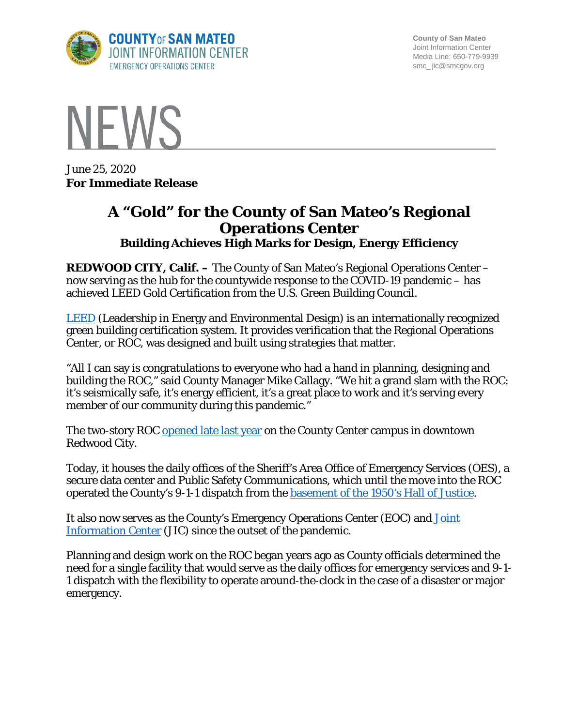

**County of San Mateo** Joint Information Center Media Line: 650-779-9939 smc\_ jic@smcgov.org



June 25, 2020 **For Immediate Release**

## **A "Gold" for the County of San Mateo's Regional Operations Center Building Achieves High Marks for Design, Energy Efficiency**

**REDWOOD CITY, Calif. –** The County of San Mateo's Regional Operations Center – now serving as the hub for the countywide response to the COVID-19 pandemic – has achieved LEED Gold Certification from the U.S. Green Building Council.

[LEED](https://www.usgbc.org/cert-guide) (Leadership in Energy and Environmental Design) is an internationally recognized green building certification system. It provides verification that the Regional Operations Center, or ROC, was designed and built using strategies that matter.

"All I can say is congratulations to everyone who had a hand in planning, designing and building the ROC," said County Manager Mike Callagy. "We hit a grand slam with the ROC: it's seismically safe, it's energy efficient, it's a great place to work and it's serving every member of our community during this pandemic."

The two-story ROC [opened late last year](https://cmo.smcgov.org/blog/2019-09-18/county-cuts-ribbon-new-regional-operations-center-disaster-response-and-recovery) on the County Center campus in downtown Redwood City.

Today, it houses the daily offices of the Sheriff's Area Office of Emergency Services (OES), a secure data center and Public Safety Communications, which until the move into the ROC operated the County's 9-1-1 dispatch from the [basement of the 1950's Hall of Justice.](https://cmo.smcgov.org/emergency-response-center-built-survive-big-one)

It also now serves as the County's Emergency Operations Center (EOC) and **Joint** Information Center (JIC) since the outset of the pandemic.

Planning and design work on the ROC began years ago as County officials determined the need for a single facility that would serve as the daily offices for emergency services and 9-1- 1 dispatch with the flexibility to operate around-the-clock in the case of a disaster or major emergency.